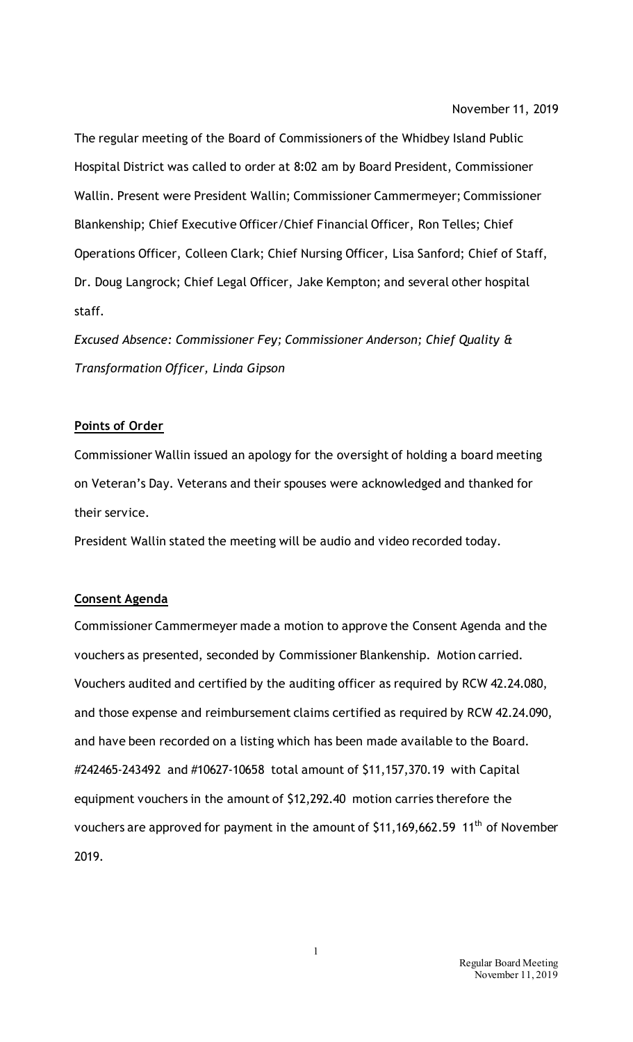The regular meeting of the Board of Commissioners of the Whidbey Island Public Hospital District was called to order at 8:02 am by Board President, Commissioner Wallin. Present were President Wallin; Commissioner Cammermeyer; Commissioner Blankenship; Chief Executive Officer/Chief Financial Officer, Ron Telles; Chief Operations Officer, Colleen Clark; Chief Nursing Officer, Lisa Sanford; Chief of Staff, Dr. Doug Langrock; Chief Legal Officer, Jake Kempton; and several other hospital staff.

*Excused Absence: Commissioner Fey; Commissioner Anderson; Chief Quality & Transformation Officer, Linda Gipson* 

#### **Points of Order**

Commissioner Wallin issued an apology for the oversight of holding a board meeting on Veteran's Day. Veterans and their spouses were acknowledged and thanked for their service.

President Wallin stated the meeting will be audio and video recorded today.

## **Consent Agenda**

Commissioner Cammermeyer made a motion to approve the Consent Agenda and the vouchers as presented, seconded by Commissioner Blankenship. Motion carried. Vouchers audited and certified by the auditing officer as required by RCW 42.24.080, and those expense and reimbursement claims certified as required by RCW 42.24.090, and have been recorded on a listing which has been made available to the Board. #242465-243492 and #10627-10658 total amount of \$11,157,370.19 with Capital equipment vouchers in the amount of \$12,292.40 motion carries therefore the vouchers are approved for payment in the amount of \$11,169,662.59 11<sup>th</sup> of November 2019.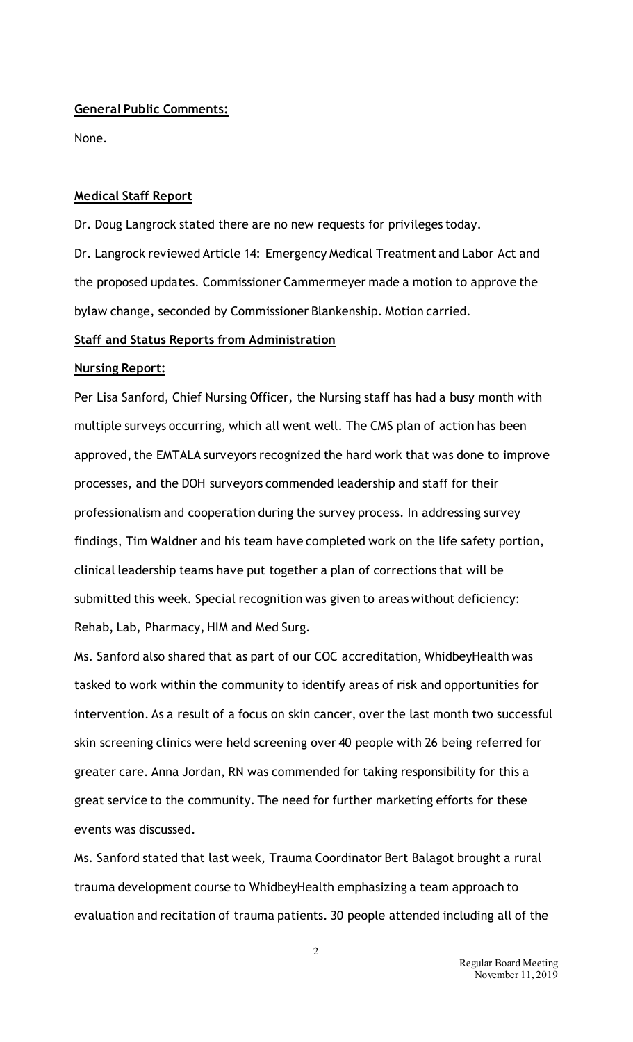### **General Public Comments:**

None.

### **Medical Staff Report**

Dr. Doug Langrock stated there are no new requests for privileges today. Dr. Langrock reviewed Article 14: Emergency Medical Treatment and Labor Act and the proposed updates. Commissioner Cammermeyer made a motion to approve the

bylaw change, seconded by Commissioner Blankenship. Motion carried.

## **Staff and Status Reports from Administration**

### **Nursing Report:**

Per Lisa Sanford, Chief Nursing Officer, the Nursing staff has had a busy month with multiple surveys occurring, which all went well. The CMS plan of action has been approved, the EMTALA surveyors recognized the hard work that was done to improve processes, and the DOH surveyors commended leadership and staff for their professionalism and cooperation during the survey process. In addressing survey findings, Tim Waldner and his team have completed work on the life safety portion, clinical leadership teams have put together a plan of corrections that will be submitted this week. Special recognition was given to areas without deficiency: Rehab, Lab, Pharmacy, HIM and Med Surg.

Ms. Sanford also shared that as part of our COC accreditation, WhidbeyHealth was tasked to work within the community to identify areas of risk and opportunities for intervention. As a result of a focus on skin cancer, over the last month two successful skin screening clinics were held screening over 40 people with 26 being referred for greater care. Anna Jordan, RN was commended for taking responsibility for this a great service to the community. The need for further marketing efforts for these events was discussed.

Ms. Sanford stated that last week, Trauma Coordinator Bert Balagot brought a rural trauma development course to WhidbeyHealth emphasizing a team approach to evaluation and recitation of trauma patients. 30 people attended including all of the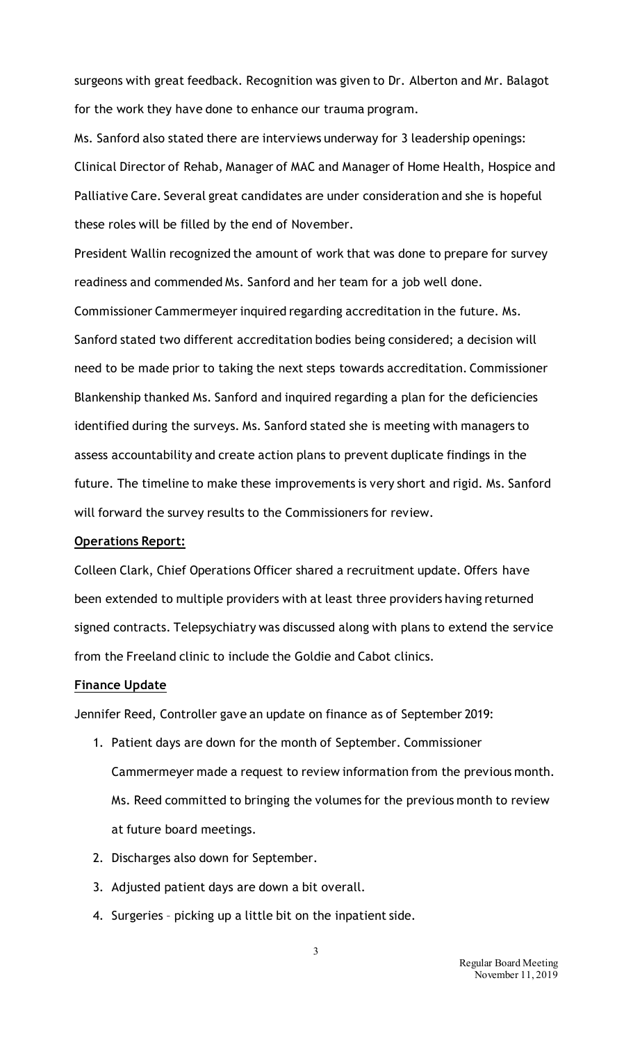surgeons with great feedback. Recognition was given to Dr. Alberton and Mr. Balagot for the work they have done to enhance our trauma program.

Ms. Sanford also stated there are interviews underway for 3 leadership openings: Clinical Director of Rehab, Manager of MAC and Manager of Home Health, Hospice and Palliative Care. Several great candidates are under consideration and she is hopeful these roles will be filled by the end of November.

President Wallin recognized the amount of work that was done to prepare for survey readiness and commended Ms. Sanford and her team for a job well done. Commissioner Cammermeyer inquired regarding accreditation in the future. Ms. Sanford stated two different accreditation bodies being considered; a decision will need to be made prior to taking the next steps towards accreditation. Commissioner Blankenship thanked Ms. Sanford and inquired regarding a plan for the deficiencies identified during the surveys. Ms. Sanford stated she is meeting with managers to assess accountability and create action plans to prevent duplicate findings in the future. The timeline to make these improvements is very short and rigid. Ms. Sanford will forward the survey results to the Commissioners for review.

#### **Operations Report:**

Colleen Clark, Chief Operations Officer shared a recruitment update. Offers have been extended to multiple providers with at least three providers having returned signed contracts. Telepsychiatry was discussed along with plans to extend the service from the Freeland clinic to include the Goldie and Cabot clinics.

### **Finance Update**

Jennifer Reed, Controller gave an update on finance as of September 2019:

- 1. Patient days are down for the month of September. Commissioner Cammermeyer made a request to review information from the previous month. Ms. Reed committed to bringing the volumes for the previous month to review at future board meetings.
- 2. Discharges also down for September.
- 3. Adjusted patient days are down a bit overall.
- 4. Surgeries picking up a little bit on the inpatient side.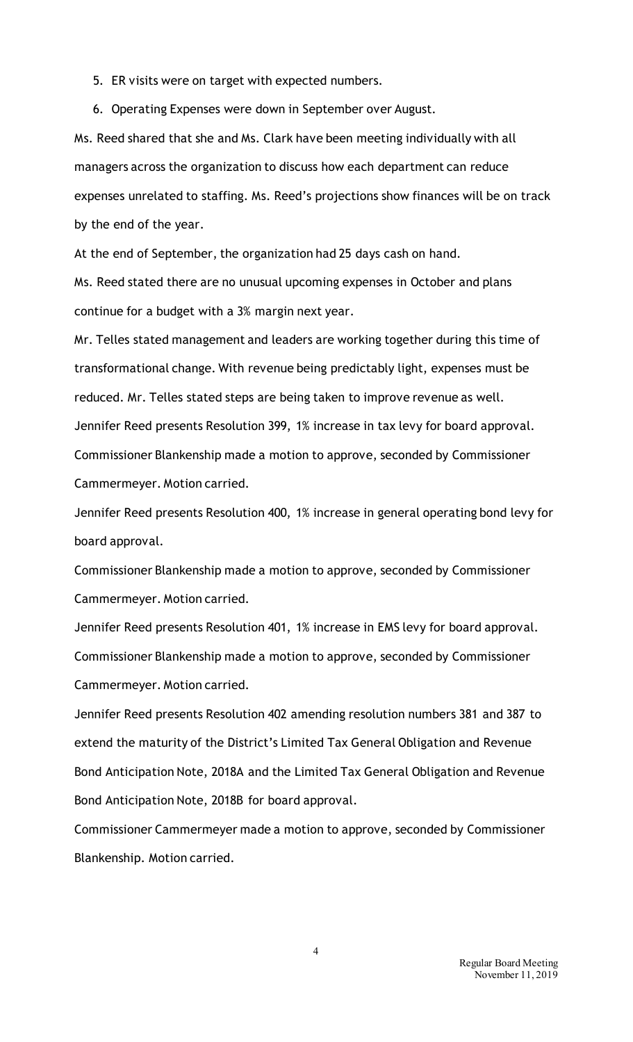- 5. ER visits were on target with expected numbers.
- 6. Operating Expenses were down in September over August.

Ms. Reed shared that she and Ms. Clark have been meeting individually with all managers across the organization to discuss how each department can reduce expenses unrelated to staffing. Ms. Reed's projections show finances will be on track by the end of the year.

At the end of September, the organization had 25 days cash on hand.

Ms. Reed stated there are no unusual upcoming expenses in October and plans continue for a budget with a 3% margin next year.

Mr. Telles stated management and leaders are working together during this time of transformational change. With revenue being predictably light, expenses must be reduced. Mr. Telles stated steps are being taken to improve revenue as well. Jennifer Reed presents Resolution 399, 1% increase in tax levy for board approval. Commissioner Blankenship made a motion to approve, seconded by Commissioner Cammermeyer. Motion carried.

Jennifer Reed presents Resolution 400, 1% increase in general operating bond levy for board approval.

Commissioner Blankenship made a motion to approve, seconded by Commissioner Cammermeyer. Motion carried.

Jennifer Reed presents Resolution 401, 1% increase in EMS levy for board approval. Commissioner Blankenship made a motion to approve, seconded by Commissioner Cammermeyer. Motion carried.

Jennifer Reed presents Resolution 402 amending resolution numbers 381 and 387 to extend the maturity of the District's Limited Tax General Obligation and Revenue Bond Anticipation Note, 2018A and the Limited Tax General Obligation and Revenue Bond Anticipation Note, 2018B for board approval.

Commissioner Cammermeyer made a motion to approve, seconded by Commissioner Blankenship. Motion carried.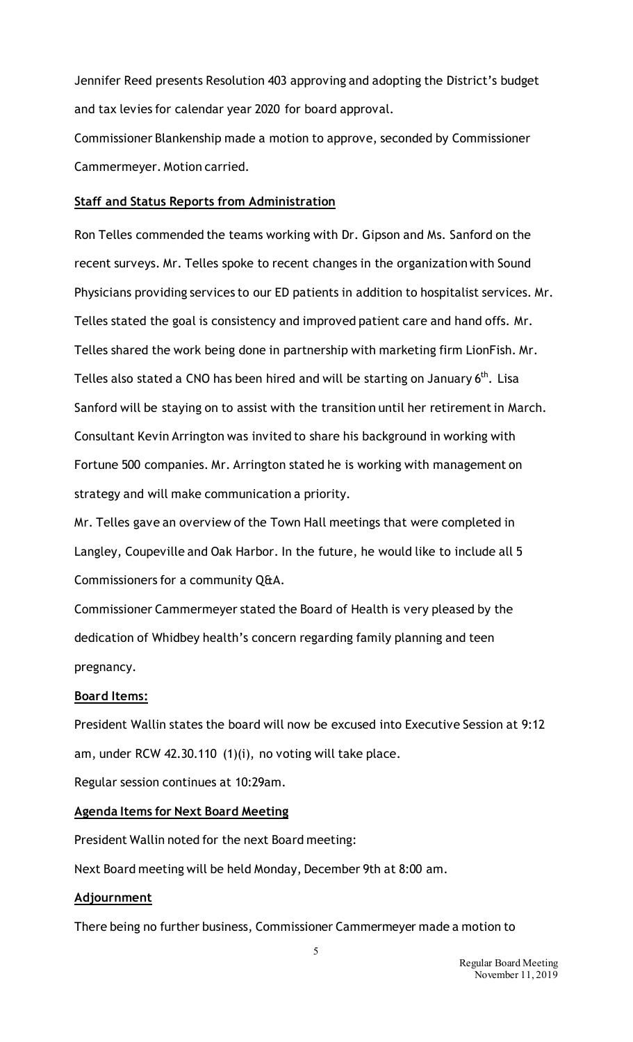Jennifer Reed presents Resolution 403 approving and adopting the District's budget and tax levies for calendar year 2020 for board approval.

Commissioner Blankenship made a motion to approve, seconded by Commissioner Cammermeyer. Motion carried.

### **Staff and Status Reports from Administration**

Ron Telles commended the teams working with Dr. Gipson and Ms. Sanford on the recent surveys. Mr. Telles spoke to recent changes in the organization with Sound Physicians providing services to our ED patients in addition to hospitalist services. Mr. Telles stated the goal is consistency and improved patient care and hand offs. Mr. Telles shared the work being done in partnership with marketing firm LionFish. Mr. Telles also stated a CNO has been hired and will be starting on January  $6<sup>th</sup>$ . Lisa Sanford will be staying on to assist with the transition until her retirement in March. Consultant Kevin Arrington was invited to share his background in working with Fortune 500 companies. Mr. Arrington stated he is working with management on strategy and will make communication a priority.

Mr. Telles gave an overview of the Town Hall meetings that were completed in Langley, Coupeville and Oak Harbor. In the future, he would like to include all 5 Commissioners for a community Q&A.

Commissioner Cammermeyer stated the Board of Health is very pleased by the dedication of Whidbey health's concern regarding family planning and teen pregnancy.

### **Board Items:**

President Wallin states the board will now be excused into Executive Session at 9:12 am, under RCW 42.30.110 (1)(i), no voting will take place.

Regular session continues at 10:29am.

# **Agenda Items for Next Board Meeting**

President Wallin noted for the next Board meeting:

Next Board meeting will be held Monday, December 9th at 8:00 am.

# **Adjournment**

There being no further business, Commissioner Cammermeyer made a motion to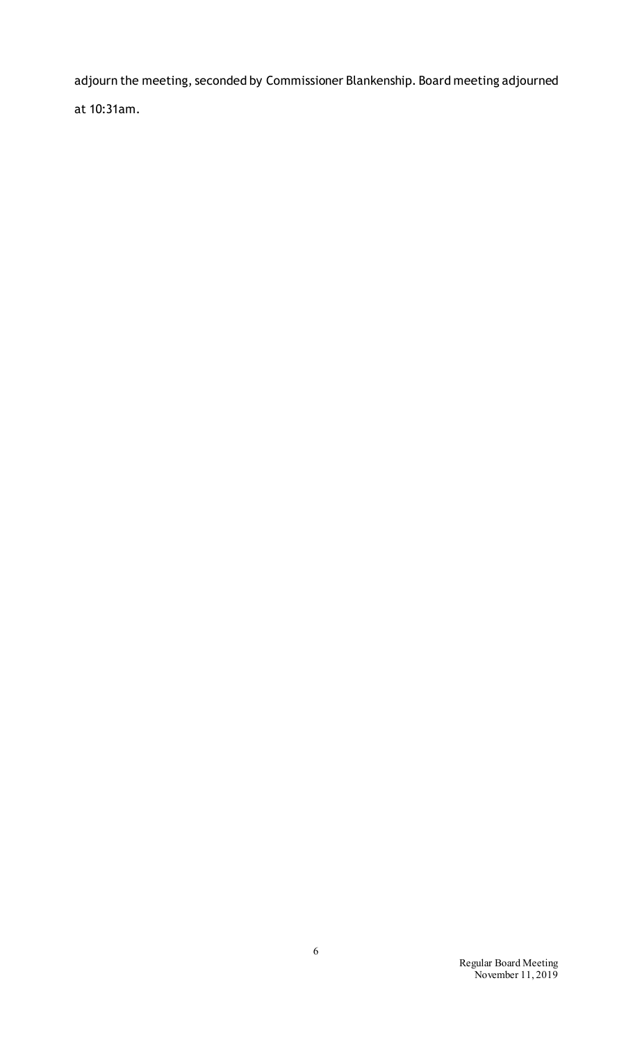adjourn the meeting, seconded by Commissioner Blankenship. Board meeting adjourned at 10:31am.